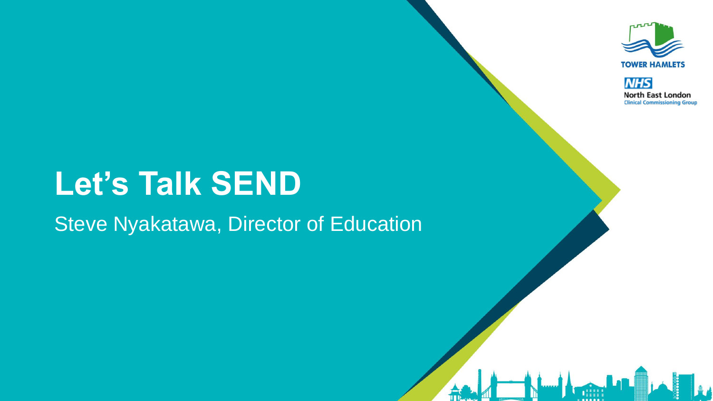

**NHS North East London Clinical Commissioning Group** 

#### **Let's Talk SEND**

#### Steve Nyakatawa, Director of Education

ĨП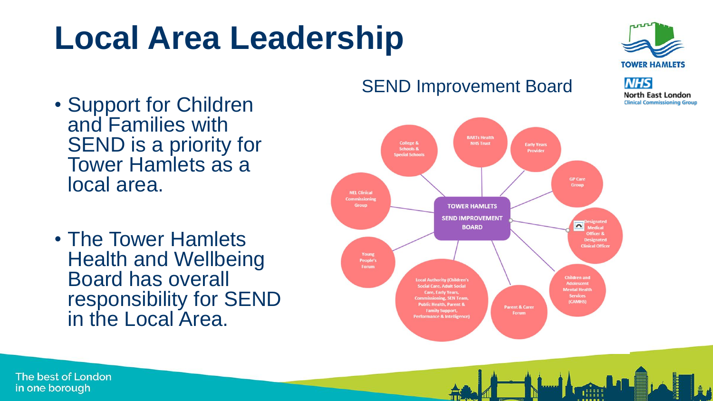### **Local Area Leadership**



**North East London** 

**NHS** 

- Support for Children and Families with SEND is a priority for Tower Hamlets as a local area.
- The Tower Hamlets Health and Wellbeing Board has overall responsibility for SEND in the Local Area.

#### SEND Improvement Board

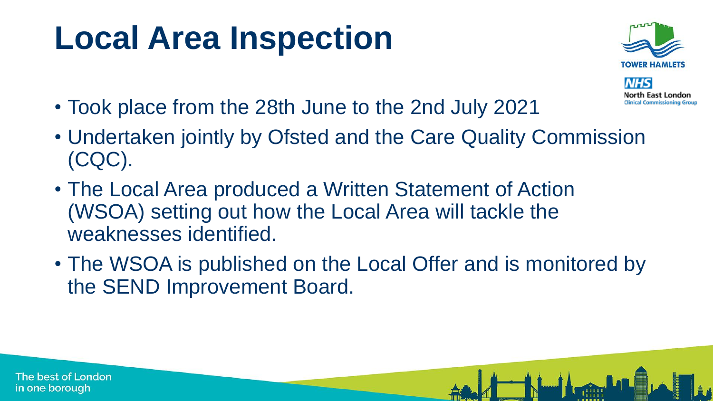## **Local Area Inspection**



North East London inical Commissioning Group

**NHS** 

- Took place from the 28th June to the 2nd July 2021
- Undertaken jointly by Ofsted and the Care Quality Commission (CQC).
- The Local Area produced a Written Statement of Action (WSOA) setting out how the Local Area will tackle the weaknesses identified.
- The WSOA is published on the Local Offer and is monitored by the SEND Improvement Board.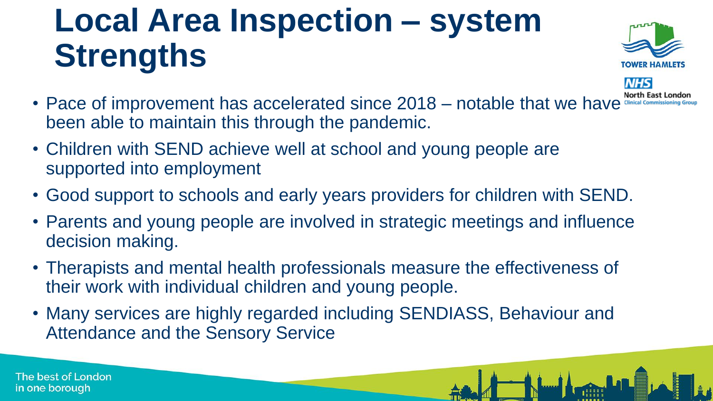# **Local Area Inspection – system Strengths**



**NHS** 

- Pace of improvement has accelerated since 2018 notable that we have North East London been able to maintain this through the pandemic.
- Children with SEND achieve well at school and young people are supported into employment
- Good support to schools and early years providers for children with SEND.
- Parents and young people are involved in strategic meetings and influence decision making.
- Therapists and mental health professionals measure the effectiveness of their work with individual children and young people.
- Many services are highly regarded including SENDIASS, Behaviour and Attendance and the Sensory Service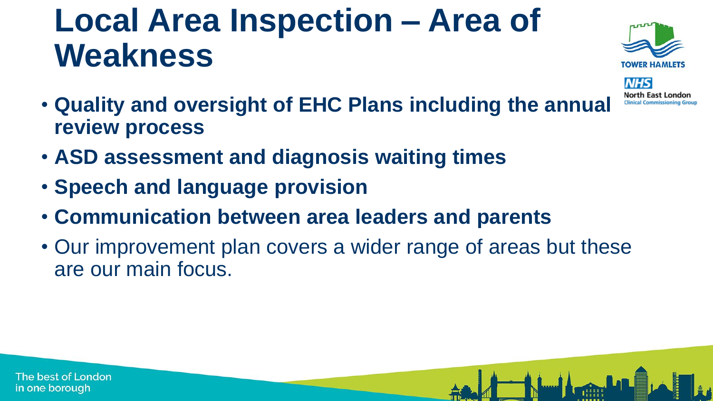### **Local Area Inspection – Area of Weakness**



North East London inical Commissioning Grou

**NHS** 

- **Quality and oversight of EHC Plans including the annual review process**
- **ASD assessment and diagnosis waiting times**
- **Speech and language provision**
- **Communication between area leaders and parents**
- Our improvement plan covers a wider range of areas but these are our main focus.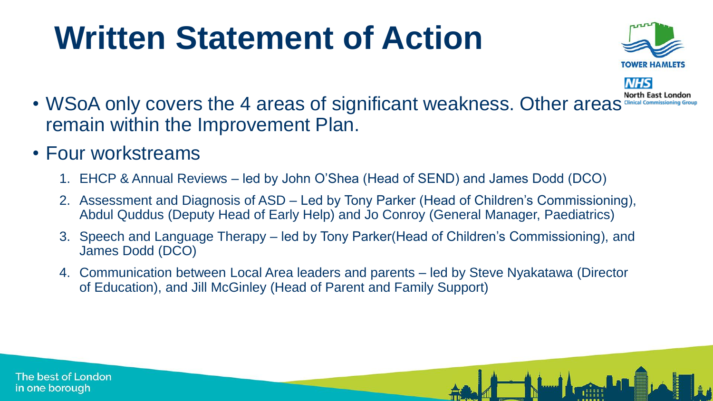## **Written Statement of Action**





- WSoA only covers the 4 areas of significant weakness. Other areas North East London remain within the Improvement Plan.
- Four workstreams
	- 1. EHCP & Annual Reviews led by John O'Shea (Head of SEND) and James Dodd (DCO)
	- 2. Assessment and Diagnosis of ASD Led by Tony Parker (Head of Children's Commissioning), Abdul Quddus (Deputy Head of Early Help) and Jo Conroy (General Manager, Paediatrics)
	- 3. Speech and Language Therapy led by Tony Parker(Head of Children's Commissioning), and James Dodd (DCO)
	- 4. Communication between Local Area leaders and parents led by Steve Nyakatawa (Director of Education), and Jill McGinley (Head of Parent and Family Support)